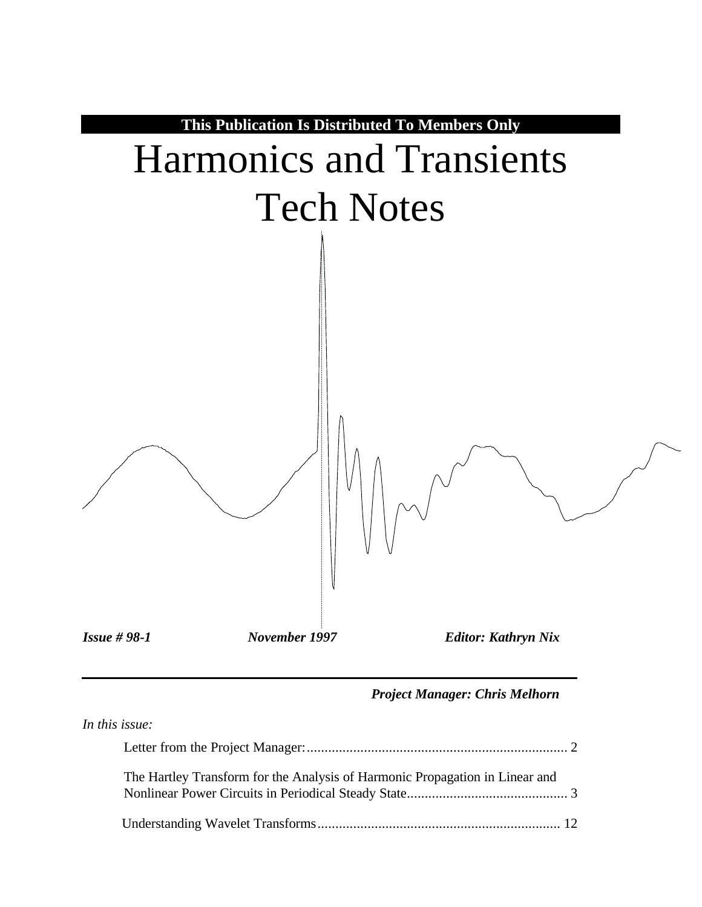

#### *Project Manager: Chris Melhorn*

| In this issue:                                                               |  |
|------------------------------------------------------------------------------|--|
|                                                                              |  |
| The Hartley Transform for the Analysis of Harmonic Propagation in Linear and |  |
|                                                                              |  |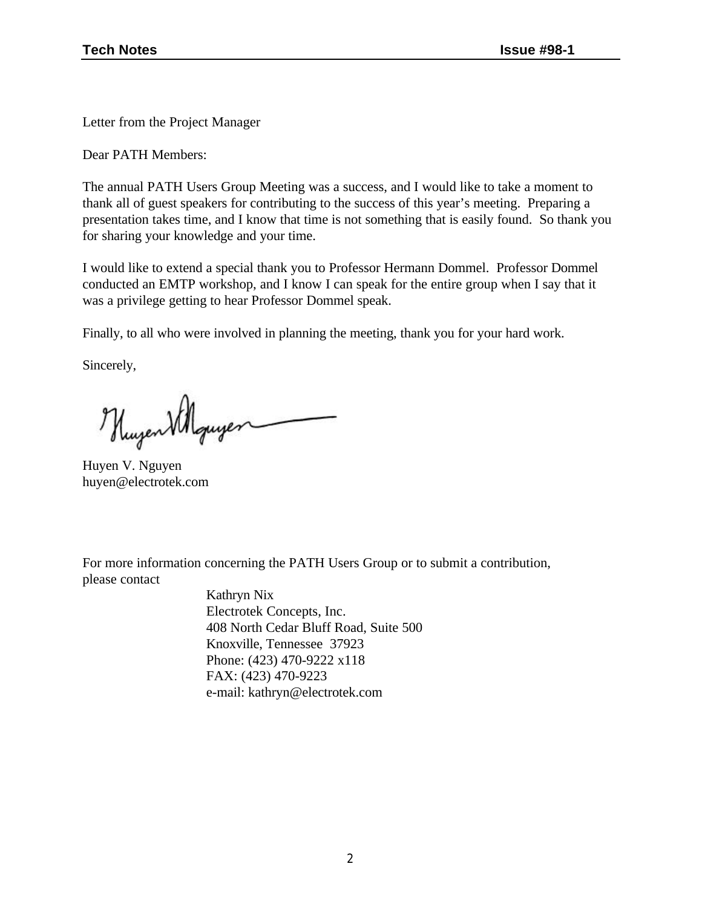Letter from the Project Manager

Dear PATH Members:

The annual PATH Users Group Meeting was a success, and I would like to take a moment to thank all of guest speakers for contributing to the success of this year's meeting. Preparing a presentation takes time, and I know that time is not something that is easily found. So thank you for sharing your knowledge and your time.

I would like to extend a special thank you to Professor Hermann Dommel. Professor Dommel conducted an EMTP workshop, and I know I can speak for the entire group when I say that it was a privilege getting to hear Professor Dommel speak.

Finally, to all who were involved in planning the meeting, thank you for your hard work.

Sincerely,

Hugen Villguyer

Huyen V. Nguyen huyen@electrotek.com

For more information concerning the PATH Users Group or to submit a contribution, please contact

> Kathryn Nix Electrotek Concepts, Inc. 408 North Cedar Bluff Road, Suite 500 Knoxville, Tennessee 37923 Phone: (423) 470-9222 x118 FAX: (423) 470-9223 e-mail: kathryn@electrotek.com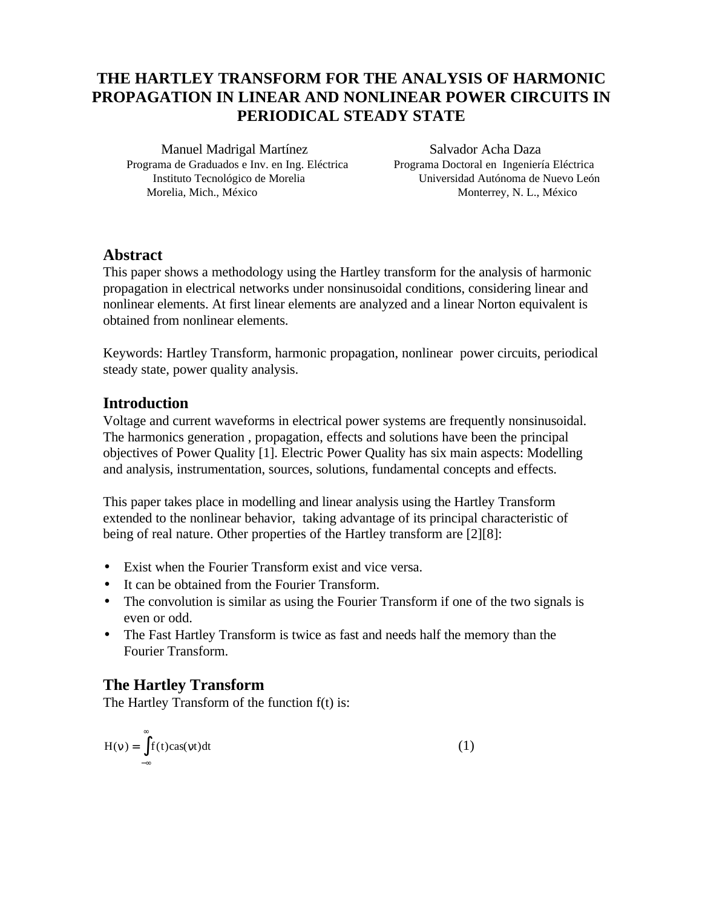## **THE HARTLEY TRANSFORM FOR THE ANALYSIS OF HARMONIC PROPAGATION IN LINEAR AND NONLINEAR POWER CIRCUITS IN PERIODICAL STEADY STATE**

Manuel Madrigal Martínez Salvador Acha Daza Programa de Graduados e Inv. en Ing. Eléctrica Programa Doctoral en Ingeniería Eléctrica Morelia, Mich., México Monterrey, N. L., México

Instituto Tecnológico de Morelia Universidad Autónoma de Nuevo León

#### **Abstract**

This paper shows a methodology using the Hartley transform for the analysis of harmonic propagation in electrical networks under nonsinusoidal conditions, considering linear and nonlinear elements. At first linear elements are analyzed and a linear Norton equivalent is obtained from nonlinear elements.

Keywords: Hartley Transform, harmonic propagation, nonlinear power circuits, periodical steady state, power quality analysis.

#### **Introduction**

Voltage and current waveforms in electrical power systems are frequently nonsinusoidal. The harmonics generation , propagation, effects and solutions have been the principal objectives of Power Quality [1]. Electric Power Quality has six main aspects: Modelling and analysis, instrumentation, sources, solutions, fundamental concepts and effects.

This paper takes place in modelling and linear analysis using the Hartley Transform extended to the nonlinear behavior, taking advantage of its principal characteristic of being of real nature. Other properties of the Hartley transform are [2][8]:

- Exist when the Fourier Transform exist and vice versa.
- It can be obtained from the Fourier Transform.
- The convolution is similar as using the Fourier Transform if one of the two signals is even or odd.
- The Fast Hartley Transform is twice as fast and needs half the memory than the Fourier Transform.

## **The Hartley Transform**

The Hartley Transform of the function f(t) is:

$$
H(n) = \int_{-\infty}^{\infty} f(t) \cos(nt) dt
$$
 (1)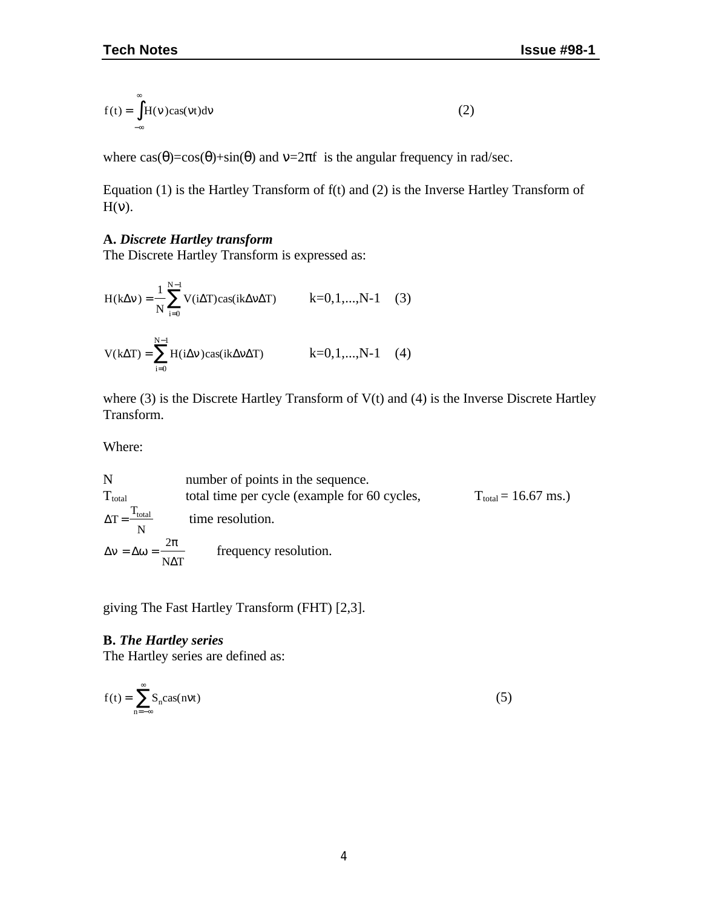$$
f(t) = \int_{-\infty}^{\infty} H(n) \cos(nt) \, \mathrm{d}n \tag{2}
$$

where  $\cos(\theta) = \cos(\theta) + \sin(\theta)$  and  $\nu = 2\pi f$  is the angular frequency in rad/sec.

Equation (1) is the Hartley Transform of f(t) and (2) is the Inverse Hartley Transform of  $H(v)$ .

#### **A.** *Discrete Hartley transform*

The Discrete Hartley Transform is expressed as:

$$
H(k\Delta n) = \frac{1}{N} \sum_{i=0}^{N-1} V(i\Delta T) \cos(ik\Delta n\Delta T) \qquad k=0,1,...,N-1 \quad (3)
$$
  

$$
V(k\Delta T) = \sum_{i=0}^{N-1} H(i\Delta n) \cos(ik\Delta n\Delta T) \qquad k=0,1,...,N-1 \quad (4)
$$

where (3) is the Discrete Hartley Transform of V(t) and (4) is the Inverse Discrete Hartley Transform.

Where:

N number of points in the sequence.  
\n
$$
T_{\text{total}}
$$
 total time per cycle (example for 60 cycles,  $T_{\text{total}} = 16.67 \text{ ms.})$   
\n $\Delta T = \frac{T_{\text{total}}}{N}$  time resolution.  
\n $\Delta n = \Delta w = \frac{2p}{N\Delta T}$  frequency resolution.

giving The Fast Hartley Transform (FHT) [2,3].

#### **B.** *The Hartley series*

The Hartley series are defined as:

$$
f(t) = \sum_{n = -\infty}^{\infty} S_n \text{cas}(n\pi t)
$$
 (5)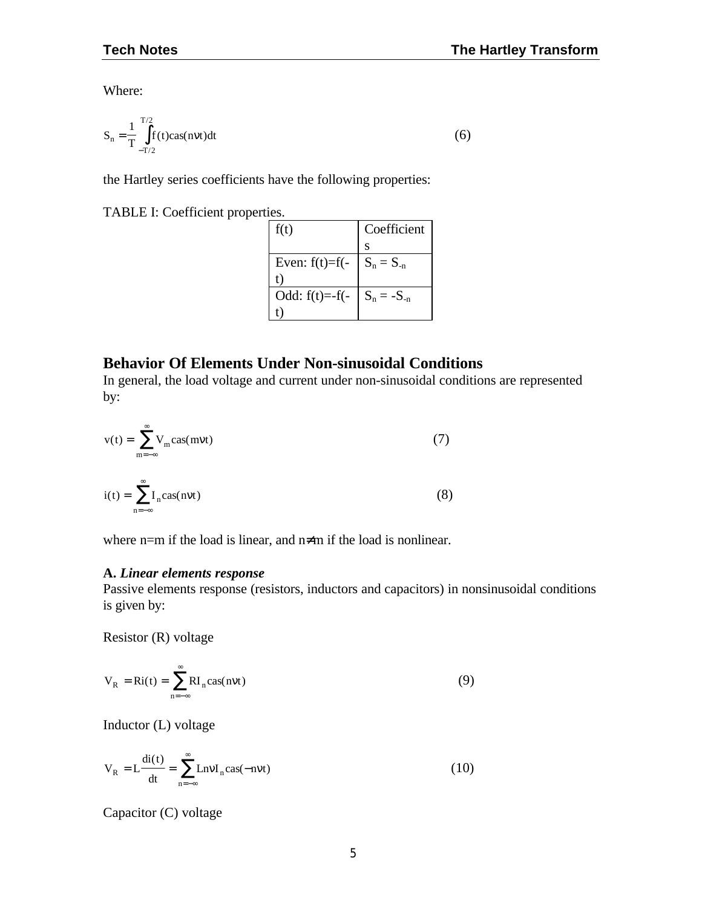Where:

$$
S_n = \frac{1}{T} \int_{-T/2}^{T/2} f(t) \cos(n\pi t) dt
$$
 (6)

the Hartley series coefficients have the following properties:

TABLE I: Coefficient properties.

| f(t)                            | Coefficient |
|---------------------------------|-------------|
|                                 | S           |
| Even: f(t)=f(- $  S_n = S_{-n}$ |             |
| t)                              |             |
| Odd: f(t)=-f(- $S_n = -S_{-n}$  |             |
|                                 |             |

## **Behavior Of Elements Under Non-sinusoidal Conditions**

In general, the load voltage and current under non-sinusoidal conditions are represented by:

$$
v(t) = \sum_{m = -\infty}^{\infty} V_m \text{cas}(m\pi t)
$$
(7)  

$$
i(t) = \sum_{n = -\infty}^{\infty} I_n \text{cas}(n\pi t)
$$
(8)

where n=m if the load is linear, and n≠m if the load is nonlinear.

#### **A.** *Linear elements response*

Passive elements response (resistors, inductors and capacitors) in nonsinusoidal conditions is given by:

Resistor (R) voltage

$$
V_R = Ri(t) = \sum_{n = -\infty}^{\infty} RI_n \cos(nnt)
$$
 (9)

Inductor (L) voltage

$$
V_R = L \frac{di(t)}{dt} = \sum_{n = -\infty}^{\infty} L n n I_n \cos(-n n t)
$$
 (10)

Capacitor (C) voltage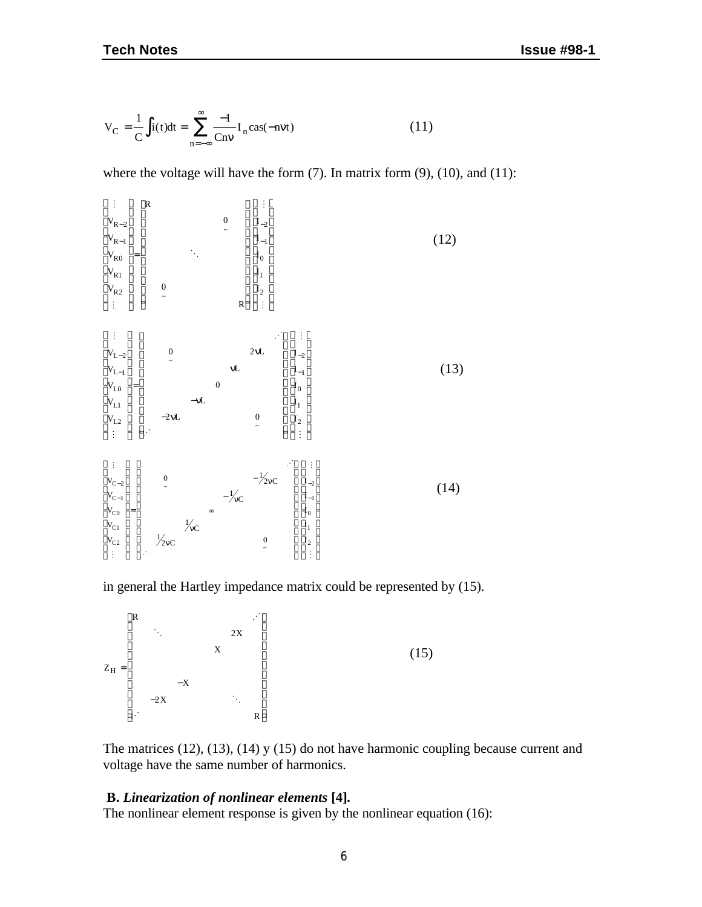$$
V_C = \frac{1}{C} \int i(t)dt = \sum_{n=-\infty}^{\infty} \frac{-1}{Cn\mathbf{n}} I_n \text{cas}(-n\mathbf{n}t)
$$
 (11)

where the voltage will have the form  $(7)$ . In matrix form  $(9)$ ,  $(10)$ , and  $(11)$ :



in general the Hartley impedance matrix could be represented by (15).

$$
Z_{H} = \begin{bmatrix} R & & & & & \cdots \\ & \ddots & & & & & \\ & & X & & & \\ & & & X & & \\ & & & & & & \\ & & & -X & & & \\ & & & & & & \ddots \\ & & & & & & & R \end{bmatrix}
$$
 (15)

The matrices (12), (13), (14) y (15) do not have harmonic coupling because current and voltage have the same number of harmonics.

#### **B.** *Linearization of nonlinear elements* **[4]***.*

The nonlinear element response is given by the nonlinear equation (16):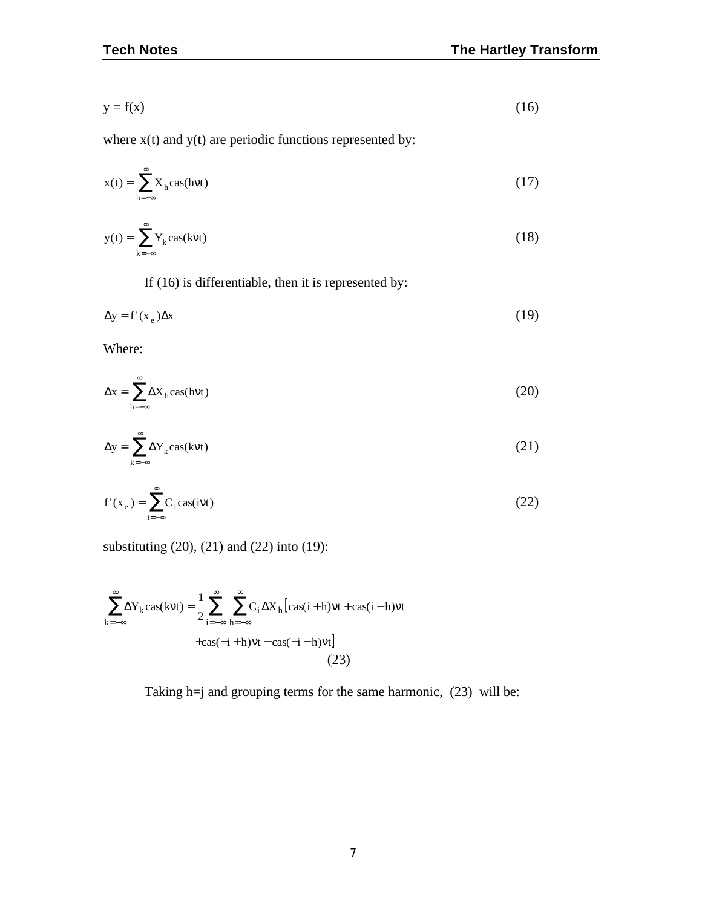$$
y = f(x) \tag{16}
$$

where  $x(t)$  and  $y(t)$  are periodic functions represented by:

$$
x(t) = \sum_{h=-\infty}^{\infty} X_h \cos(hnt)
$$
 (17)

$$
y(t) = \sum_{k=-\infty}^{\infty} Y_k \cos(knt)
$$
 (18)

If (16) is differentiable, then it is represented by:

$$
\Delta y = f'(x_e) \Delta x \tag{19}
$$

Where:

$$
\Delta x = \sum_{h=-\infty}^{\infty} \Delta X_h \cos(hm)
$$
 (20)

$$
\Delta y = \sum_{k=-\infty}^{\infty} \Delta Y_k \cos(knt)
$$
 (21)

$$
f'(x_e) = \sum_{i=-\infty}^{\infty} C_i \text{cas}(i\mathbf{m}t)
$$
 (22)

substituting (20), (21) and (22) into (19):

$$
\sum_{k=-\infty}^{\infty} \Delta Y_k \cos(knt) = \frac{1}{2} \sum_{i=-\infty}^{\infty} \sum_{h=-\infty}^{\infty} C_i \Delta X_h [\cos(i+h)nt + \cos(i-h)nt + \cos(-i+h)nt] \tag{23}
$$

Taking h=j and grouping terms for the same harmonic, (23) will be: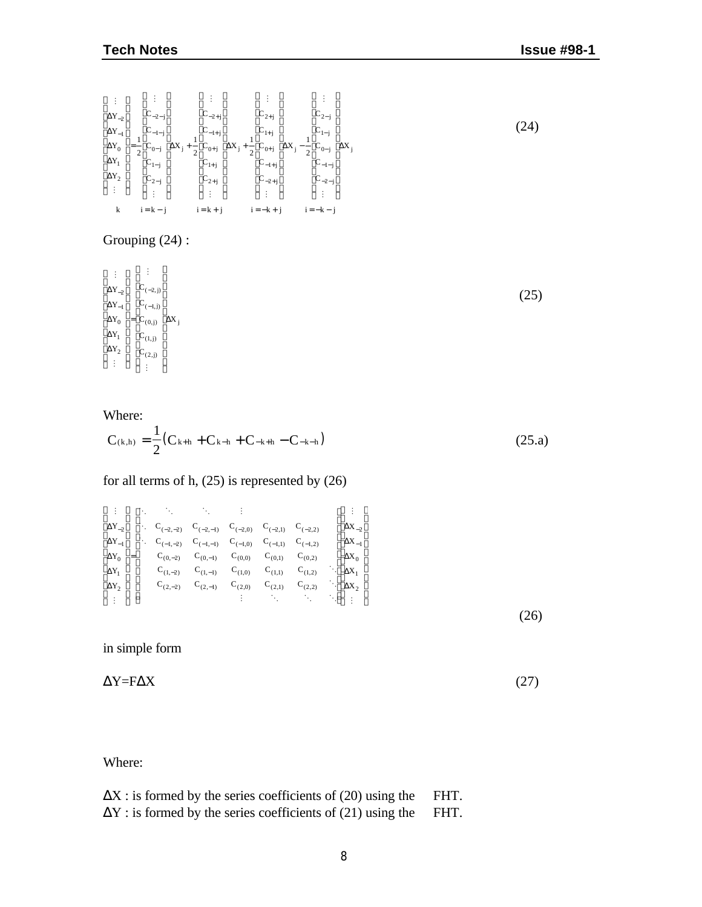M  $\lfloor \ \cdot \rfloor$ M  $\pm$ M  $\lfloor \ \cdot \rfloor$ M  $\vert$   $\Delta$ Y<sub>-2</sub>  $\vert$  $\vert$   $\Delta$ Y<sub>-1</sub> $\vert$  $\vert_{\Delta Y_0}$ Δ Y  $\Delta Y_2$  $\Delta X_j + \frac{1}{2} C_{0+j} \Delta$  $C_{-2-j}$  $C_{-1-j}$  $C_{0-j}$  $C_{1-j}$  $\Big| \frac{C_{2-j}}{2}$ X j  $C_{-2+j}$  $C_{-1+j}$  $|C_{1+j}|$  $C_{2+j}$  $\Delta X_j$  +  $C_{2+j}$  ${\rm c}^{\phantom{1}}_{\rm 1+}\,$ j  $C_{0+j}$  $C_{-1+j}$  $C_{-2+i}$ L L  $\begin{vmatrix} \Delta 1_0 \\ \Delta Y_1 \end{vmatrix}$ J J J J J J J I = L L  $\left| \begin{matrix} 1 \\ C_{-2-j} \end{matrix} \right|$  $\left| \frac{1}{C_{-1-j}} \right|$  $\vert_{\mathrm{c}_0}$  $\Big|\mathbf{c}_1\Big|$ J J J J  $\left|_{\Delta X_j} \right|$ J J J J L  $\left| \begin{matrix} 1 \\ C_{-2+j} \end{matrix} \right|$  $\left| \begin{matrix} 1 \\ C_{-1+j} \end{matrix} \right|$  $\Big\vert_{\rm C_0}$  $|_{\mathrm{C_2}}$ J J J J J I 1  $\overline{2}$ 1 2 1 2 M  $\mathbb{R}^2$  $\mathbb{R}^+$ L L  $\parallel$  $\parallel$  $\parallel$  $\left| \begin{matrix} 0 & 0 \\ C_{-1+j} \end{matrix} \right|$  $\parallel$ J J J J J J  $\big|_{\Delta X}$  – J I L  $\Big\vert_{\rm C_{2-j}}$  $\Big| \overline{C}_{1-j}^{\epsilon^{-1}}$  $\Delta X_j - \frac{1}{2} C_{0-j} \left| \Delta X_j \right|$  $\vert C_{-1-j} \vert$  $|C_{-2-i}|$  $\overline{\phantom{a}}$ J I I I I  $\overline{\phantom{a}}$ k i = k - j i = k + j i = -k - j 1 2

#### Grouping (24) :

 $\langle \rangle$  $\lfloor \ \cdot \rfloor$  $\frac{1}{4}$ M  $\Delta Y$ <sub>-</sub>  $\vert$   $\Delta Y_{-1} \vert$  $\begin{vmatrix} \Delta Y_0 \\ \Delta Y_c \end{vmatrix}$  $\Delta Y_1$  $\Delta Y_2$  $C_{(0,j)}$   $\Delta X_j$  $C_{(-2,j)}$  $\vert$  C<sub>(-1,j)</sub>  $\mathrm{C}_{(1, j)}$  $C_{(2,j)}$ L  $\begin{vmatrix} 1 \\ \Delta Y_{-2} \end{vmatrix}$ J  $\overline{\phantom{a}}$ J I = L L  $\Bigg| \cdot C_{(-2, j)} \Bigg|$  $\left| \begin{array}{c} (x, y) \\ C_{(0, j)} \end{array} \right|$  $\Big| \mathcal{C}_{(1,j)}^{\circ, \mathsf{u}, \mathsf{u}}$  $C_{(2,j)}$ J J J J J J J I

#### Where:

$$
C_{(k,h)} = \frac{1}{2}(C_{k+h} + C_{k-h} + C_{-k+h} - C_{-k-h})
$$
\n(25. a)

#### for all terms of h, (25) is represented by (26)

$$
\begin{bmatrix}\n\vdots \\
\Delta Y_{-2} \\
\Delta Y_{-1} \\
\Delta Y_{-1} \\
\Delta Y_0 \\
\Delta Y_1 \\
\Delta Y_2 \\
\vdots\n\end{bmatrix}\n\begin{bmatrix}\n\ddots & \ddots & \ddots & \vdots \\
\ddots & C_{(-2,-2)} & C_{(-2,-1)} & C_{(-2,0)} & C_{(-2,1)} & C_{(-2,2)} \\
\ddots & C_{(-1,-2)} & C_{(-1,-1)} & C_{(-1,0)} & C_{(-1,1)} & C_{(-1,2)} \\
\Delta Y_0 & C_{(0,-2)} & C_{(0,-1)} & C_{(0,0)} & C_{(0,1)} & C_{(0,2)} \\
\Delta Y_1 & C_{(1,-2)} & C_{(1,-1)} & C_{(1,0)} & C_{(1,1)} & C_{(1,2)} \\
\Delta Y_2 & C_{(2,-2)} & C_{(2,-1)} & C_{(2,0)} & C_{(2,1)} & C_{(2,2)} \\
\vdots & \vdots & \ddots & \vdots & \ddots\n\end{bmatrix}\n\begin{bmatrix}\n\vdots \\
\Delta X_{-2} \\
\Delta X_{-1} \\
\Delta X_{-1} \\
\Delta X_0 \\
\Delta X_1 \\
\vdots\n\end{bmatrix}
$$
\n(26)

in simple form

 $\Delta Y = F \Delta X$  (27)

Where:

| $\Delta X$ : is formed by the series coefficients of (20) using the | FHT. |
|---------------------------------------------------------------------|------|
| $\Delta Y$ : is formed by the series coefficients of (21) using the | FHT. |

(25)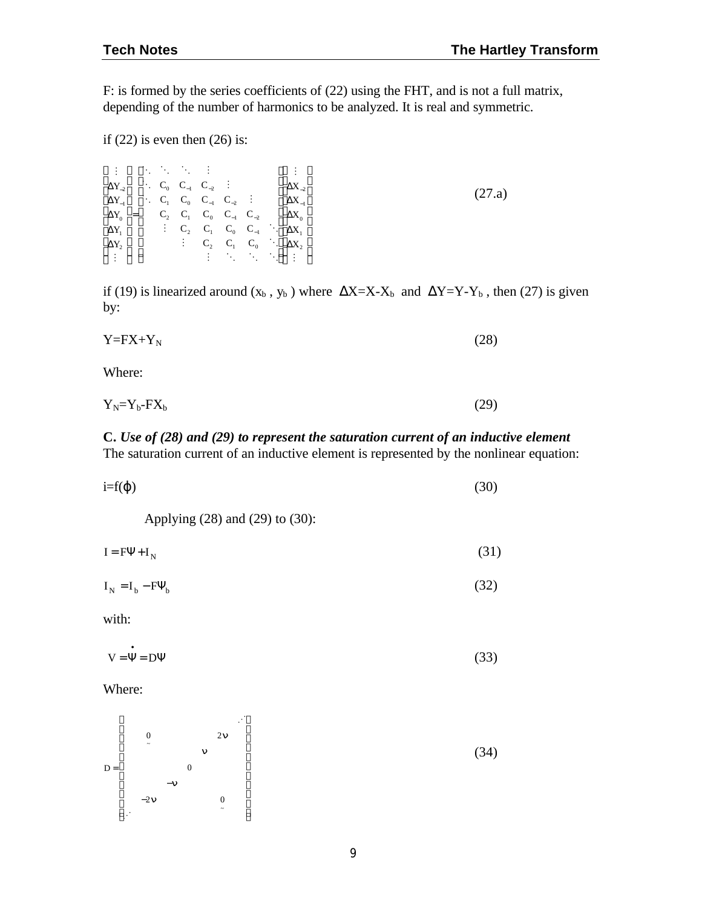F: is formed by the series coefficients of (22) using the FHT, and is not a full matrix, depending of the number of harmonics to be analyzed. It is real and symmetric.

if  $(22)$  is even then  $(26)$  is:

|  |  |  |  | $\begin{bmatrix} \vdots\\ \Delta Y_{-2}\\ \Delta Y_{-1}\\ \Delta Y_{0}\\ \Delta Y_{1}\\ \Delta Y_{2}\\ \Delta Y_{2}\\ \vdots \end{bmatrix} = \begin{bmatrix} \cdot & \cdot & \cdot & \cdot & \cdot & \vdots\\ \cdot & C_0 & C_{-1} & C_{-2} & \vdots & & \cdot\\ \cdot & C_0 & C_{-1} & C_{-2} & \cdot & \cdot & \cdot\\ \cdot & C_1 & C_0 & C_{-1} & C_{-2} & \cdot & \cdot\\ \cdot & C_2 & C_1 & C_0 & C_{-1} & \cdot & \cdot\\ \cdot & C_2 & C_1 & C_0 & C_{-1} & \cdot & \cdot$ |        |
|--|--|--|--|-------------------------------------------------------------------------------------------------------------------------------------------------------------------------------------------------------------------------------------------------------------------------------------------------------------------------------------------------------------------------------------------------------------------------------------------------------------------------------------|--------|
|  |  |  |  |                                                                                                                                                                                                                                                                                                                                                                                                                                                                                     | (27.a) |
|  |  |  |  |                                                                                                                                                                                                                                                                                                                                                                                                                                                                                     |        |
|  |  |  |  |                                                                                                                                                                                                                                                                                                                                                                                                                                                                                     |        |
|  |  |  |  |                                                                                                                                                                                                                                                                                                                                                                                                                                                                                     |        |
|  |  |  |  |                                                                                                                                                                                                                                                                                                                                                                                                                                                                                     |        |
|  |  |  |  |                                                                                                                                                                                                                                                                                                                                                                                                                                                                                     |        |

if (19) is linearized around  $(x_b, y_b)$  where  $\Delta X = X - X_b$  and  $\Delta Y = Y - Y_b$ , then (27) is given by:

$$
Y = FX + Y_N \tag{28}
$$

Where:

$$
Y_N = Y_b - FX_b \tag{29}
$$

#### **C.** *Use of (28) and (29) to represent the saturation current of an inductive element* The saturation current of an inductive element is represented by the nonlinear equation:

| $i=f(\varphi)$ | (30) |
|----------------|------|
|                |      |

Applying (28) and (29) to (30):

$$
I = F\Psi + I_N \tag{31}
$$

$$
I_N = I_b - F\Psi_b \tag{32}
$$

with:

$$
V = \dot{\Psi} = D\Psi
$$
 (33)

Where:

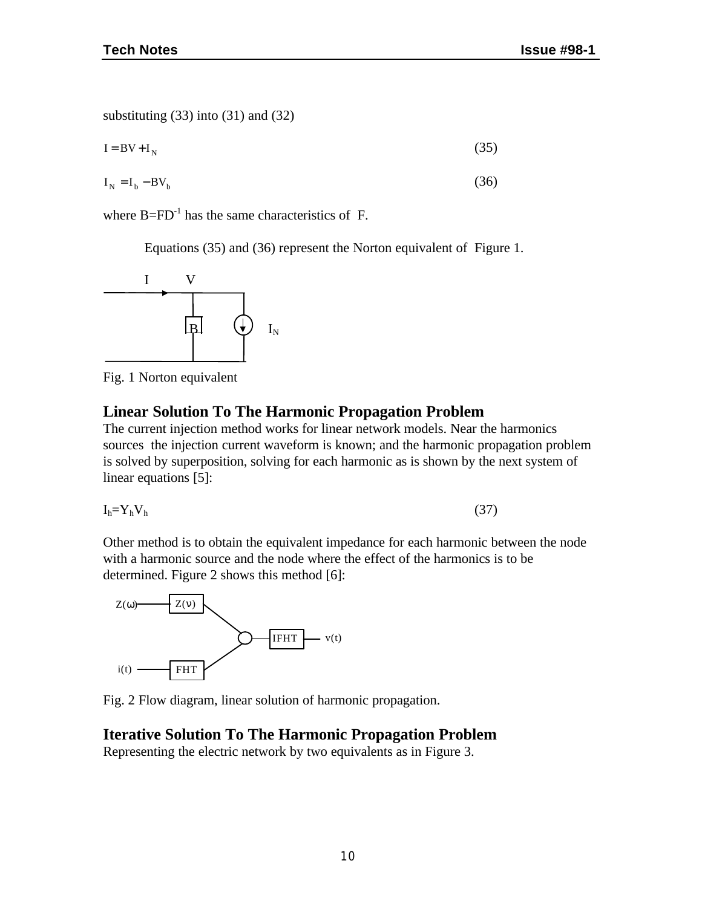substituting (33) into (31) and (32)

$$
I = BV + I_N \tag{35}
$$

$$
I_N = I_b - BV_b \tag{36}
$$

where  $B=FD^{-1}$  has the same characteristics of F.

Equations (35) and (36) represent the Norton equivalent of Figure 1.



Fig. 1 Norton equivalent

#### **Linear Solution To The Harmonic Propagation Problem**

The current injection method works for linear network models. Near the harmonics sources the injection current waveform is known; and the harmonic propagation problem is solved by superposition, solving for each harmonic as is shown by the next system of linear equations [5]:

$$
I_h = Y_h V_h \tag{37}
$$

Other method is to obtain the equivalent impedance for each harmonic between the node with a harmonic source and the node where the effect of the harmonics is to be determined. Figure 2 shows this method [6]:



Fig. 2 Flow diagram, linear solution of harmonic propagation.

#### **Iterative Solution To The Harmonic Propagation Problem**

Representing the electric network by two equivalents as in Figure 3.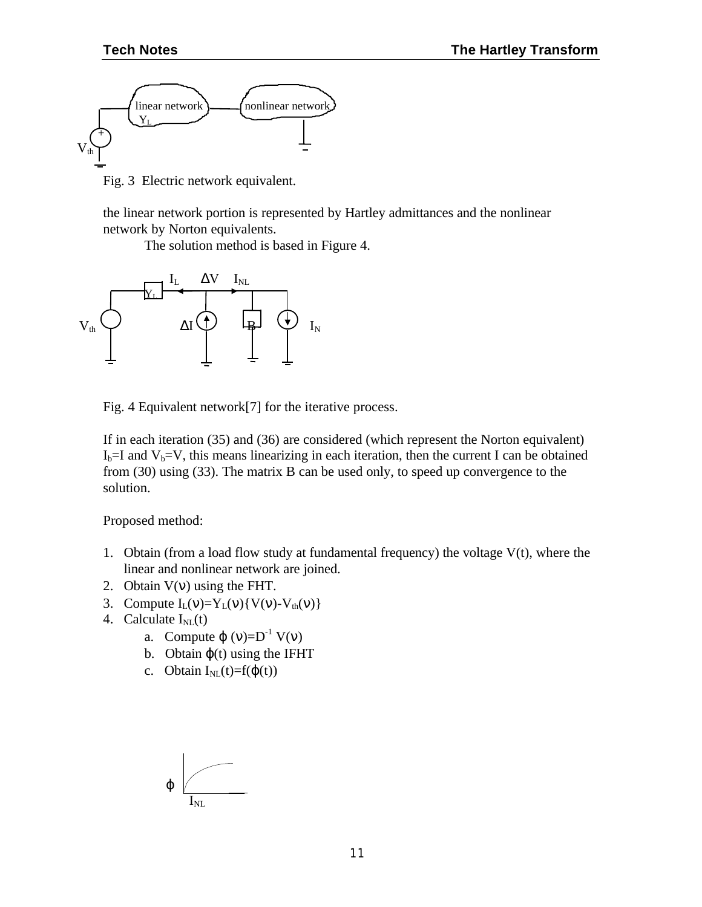

Fig. 3 Electric network equivalent.

the linear network portion is represented by Hartley admittances and the nonlinear network by Norton equivalents.

The solution method is based in Figure 4.



Fig. 4 Equivalent network[7] for the iterative process.

If in each iteration (35) and (36) are considered (which represent the Norton equivalent)  $I_b=I$  and  $V_b=V$ , this means linearizing in each iteration, then the current I can be obtained from (30) using (33). The matrix B can be used only, to speed up convergence to the solution.

Proposed method:

- 1. Obtain (from a load flow study at fundamental frequency) the voltage  $V(t)$ , where the linear and nonlinear network are joined.
- 2. Obtain  $V(v)$  using the FHT.
- 3. Compute  $I_L(v)=Y_L(v)\{V(v)-V_{th}(v)\}\$
- 4. Calculate  $I_{NL}(t)$ 
	- a. Compute  $\varphi(v)=D^{-1} V(v)$
	- b. Obtain  $\varphi(t)$  using the IFHT
	- c. Obtain  $I_{NI}(t)=f(\phi(t))$

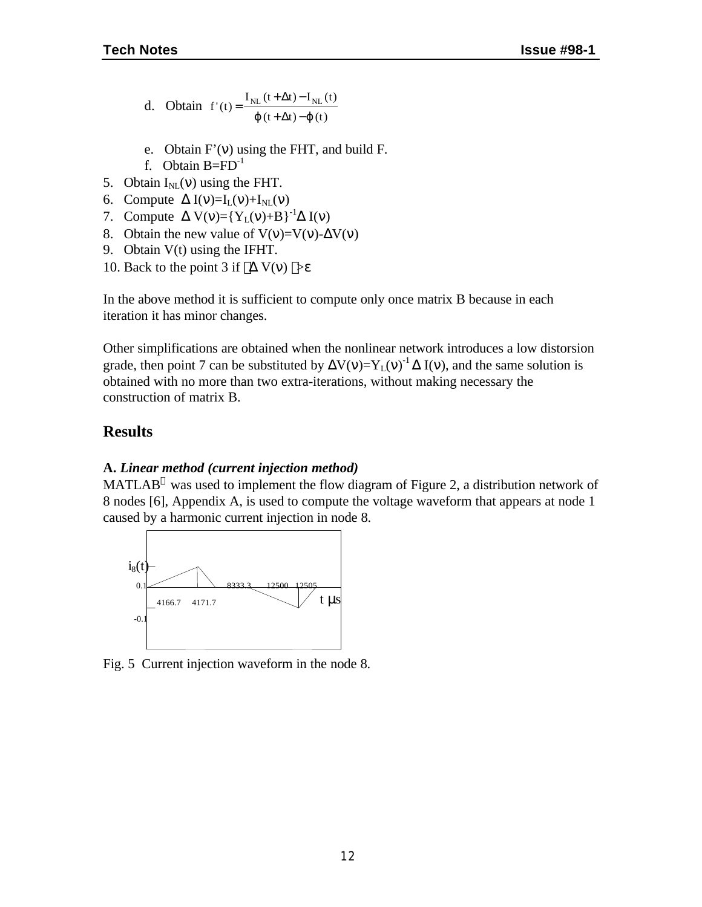- d. Obtain  $f'(t) = \frac{I_{NL}(t + \Delta t) I_{NL}(t)}{I_{NL}(t + \Delta t)}$  $t + \Delta t$ ) – $\boldsymbol{j}$  (t  $I(t) = \frac{I_{NL} (t + \Delta t) - I_{NL} (t)}{t}$  $(t + \Delta t) - j(t)$ =  $+\Delta t$ ) –  $+\Delta t$ ) – Δ  $j(t+\Delta t) - j$
- e. Obtain F'(ν) using the FHT, and build F.
- f. Obtain  $B=FD^{-1}$
- 5. Obtain  $I_{NL}(v)$  using the FHT.
- 6. Compute  $\Delta I(v)=I_{L}(v)+I_{NL}(v)$
- 7. Compute  $\Delta V(v)= {Y_L(v)+B}^{-1}\Delta I(v)$
- 8. Obtain the new value of  $V(v)=V(v)-\Delta V(v)$
- 9. Obtain V(t) using the IFHT.
- 10. Back to the point 3 if  $\vert \Delta V(v) \vert > \epsilon$

In the above method it is sufficient to compute only once matrix B because in each iteration it has minor changes.

Other simplifications are obtained when the nonlinear network introduces a low distorsion grade, then point 7 can be substituted by  $\Delta V(v)=Y_L(v)^{-1} \Delta I(v)$ , and the same solution is obtained with no more than two extra-iterations, without making necessary the construction of matrix B.

#### **Results**

#### **A.** *Linear method (current injection method)*

MATLAB<sup>®</sup> was used to implement the flow diagram of Figure 2, a distribution network of 8 nodes [6], Appendix A, is used to compute the voltage waveform that appears at node 1 caused by a harmonic current injection in node 8.



Fig. 5 Current injection waveform in the node 8.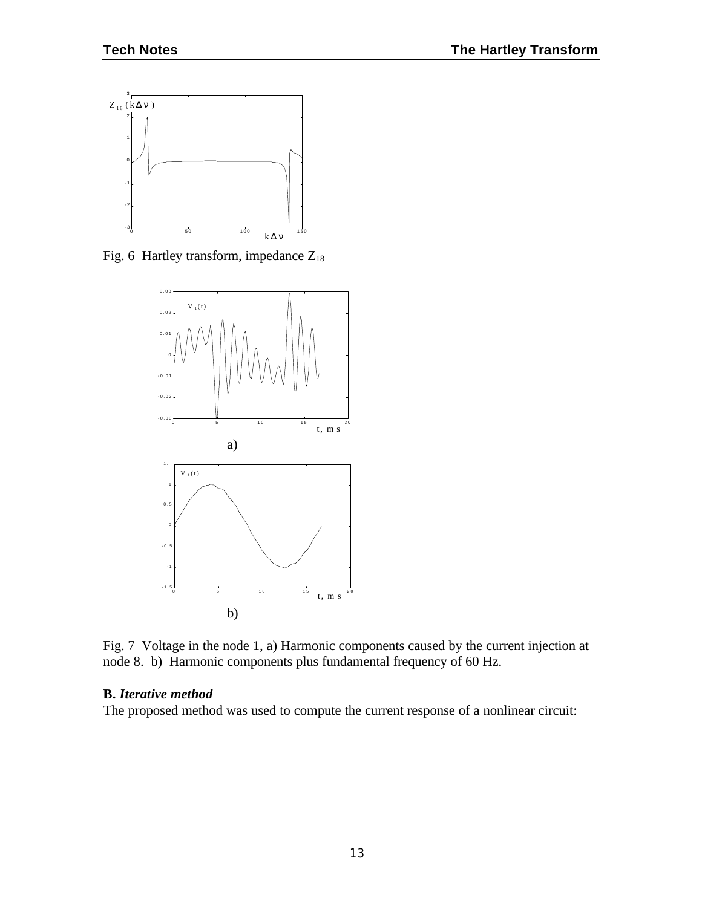

Fig. 6 Hartley transform, impedance  $Z_{18}$ 



Fig. 7 Voltage in the node 1, a) Harmonic components caused by the current injection at node 8. b) Harmonic components plus fundamental frequency of 60 Hz.

#### **B.** *Iterative method*

The proposed method was used to compute the current response of a nonlinear circuit: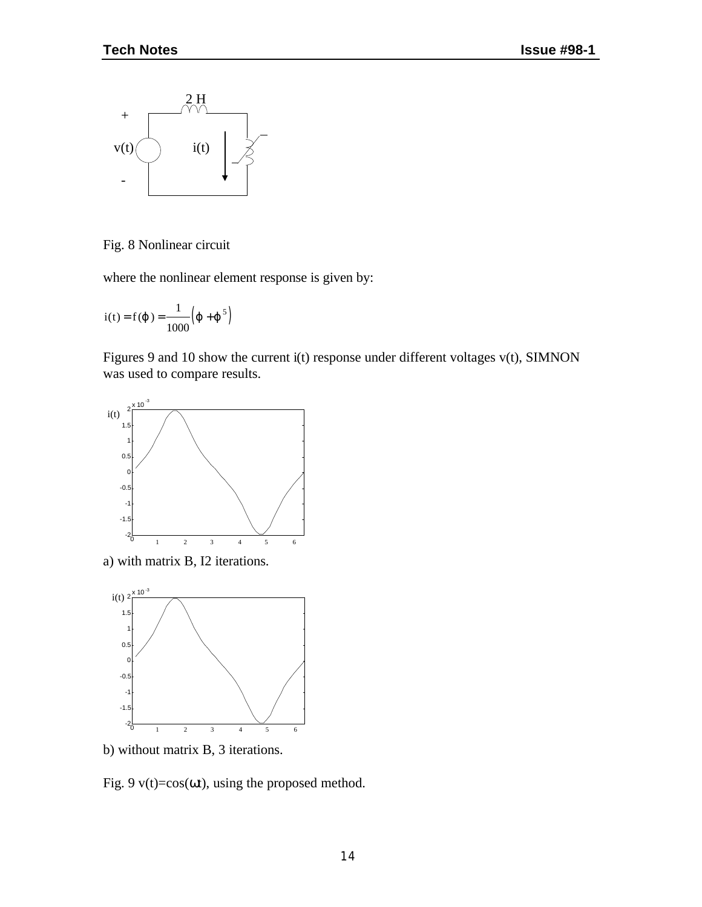

Fig. 8 Nonlinear circuit

where the nonlinear element response is given by:

$$
i(t) = f(j) = \frac{1}{1000} (j + j5)
$$

Figures 9 and 10 show the current i(t) response under different voltages v(t), SIMNON was used to compare results.



a) with matrix B, I2 iterations.



b) without matrix B, 3 iterations.

Fig. 9  $v(t)=cos(\omega t)$ , using the proposed method.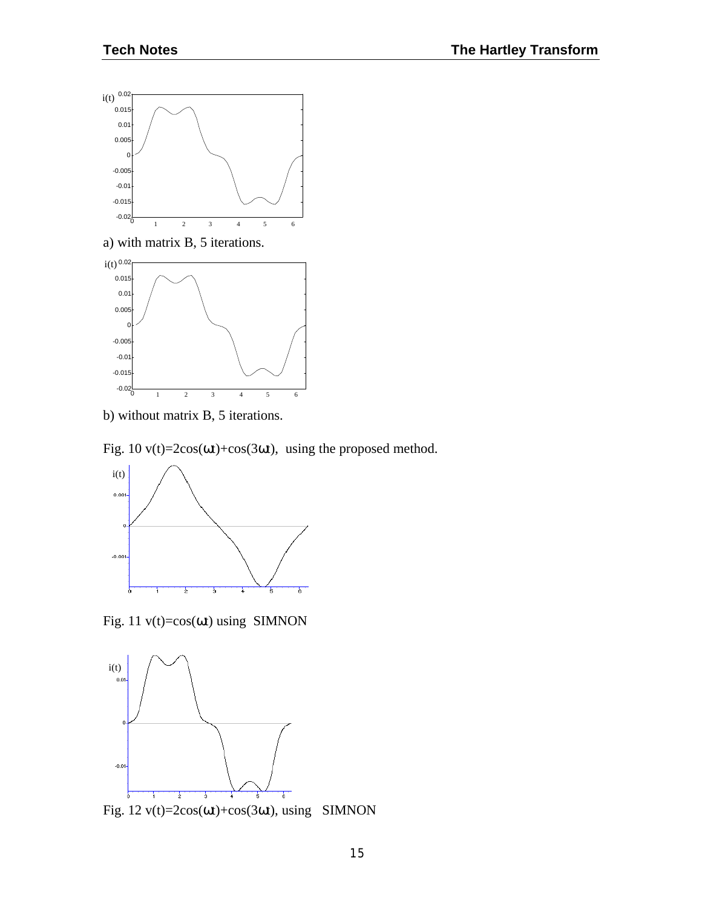

a) with matrix B, 5 iterations.



b) without matrix B, 5 iterations.

Fig.  $10 \text{ v}(t) = 2\cos(\omega t) + \cos(3\omega t)$ , using the proposed method.



Fig. 11 v(t)=cos(ωt) using SIMNON



Fig.  $12 \text{ v}(t) = 2\cos(\omega t) + \cos(3\omega t)$ , using SIMNON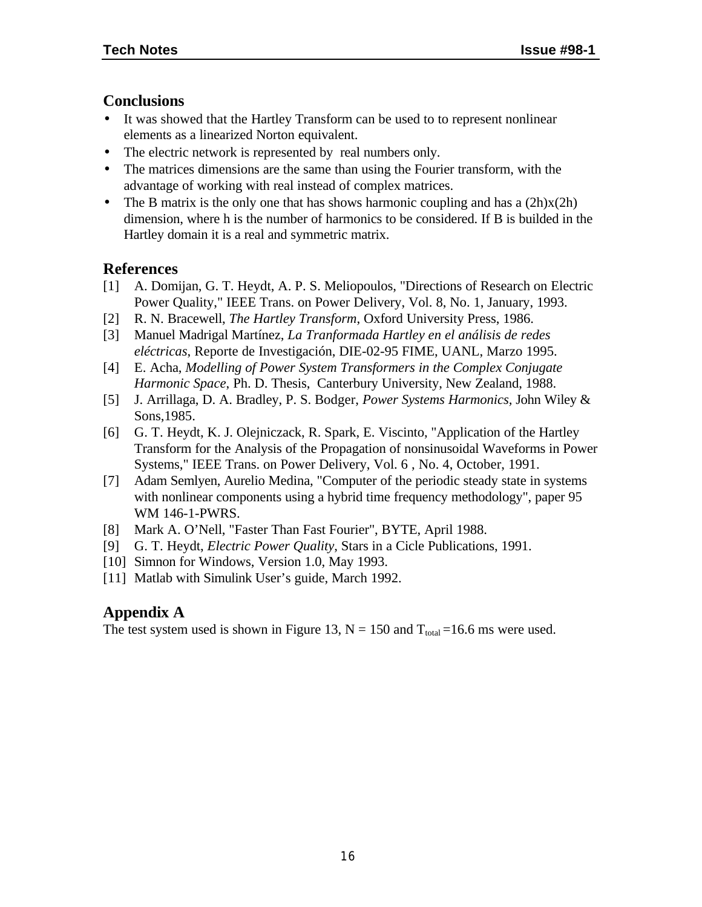## **Conclusions**

- It was showed that the Hartley Transform can be used to to represent nonlinear elements as a linearized Norton equivalent.
- The electric network is represented by real numbers only.
- The matrices dimensions are the same than using the Fourier transform, with the advantage of working with real instead of complex matrices.
- The B matrix is the only one that has shows harmonic coupling and has a  $(2h)x(2h)$ dimension, where h is the number of harmonics to be considered. If B is builded in the Hartley domain it is a real and symmetric matrix.

## **References**

- [1] A. Domijan, G. T. Heydt, A. P. S. Meliopoulos, "Directions of Research on Electric Power Quality," IEEE Trans. on Power Delivery, Vol. 8, No. 1, January, 1993.
- [2] R. N. Bracewell, *The Hartley Transform*, Oxford University Press, 1986.
- [3] Manuel Madrigal Martínez, *La Tranformada Hartley en el análisis de redes eléctricas*, Reporte de Investigación, DIE-02-95 FIME, UANL, Marzo 1995.
- [4] E. Acha, *Modelling of Power System Transformers in the Complex Conjugate Harmonic Space*, Ph. D. Thesis, Canterbury University, New Zealand, 1988.
- [5] J. Arrillaga, D. A. Bradley, P. S. Bodger, *Power Systems Harmonics,* John Wiley & Sons,1985.
- [6] G. T. Heydt, K. J. Olejniczack, R. Spark, E. Viscinto, "Application of the Hartley Transform for the Analysis of the Propagation of nonsinusoidal Waveforms in Power Systems," IEEE Trans. on Power Delivery, Vol. 6 , No. 4, October, 1991.
- [7] Adam Semlyen, Aurelio Medina, "Computer of the periodic steady state in systems with nonlinear components using a hybrid time frequency methodology", paper 95 WM 146-1-PWRS.
- [8] Mark A. O'Nell, "Faster Than Fast Fourier", BYTE, April 1988.
- [9] G. T. Heydt, *Electric Power Quality*, Stars in a Cicle Publications, 1991.
- [10] Simnon for Windows, Version 1.0, May 1993.
- [11] Matlab with Simulink User's guide, March 1992.

## **Appendix A**

The test system used is shown in Figure 13,  $N = 150$  and  $T_{total} = 16.6$  ms were used.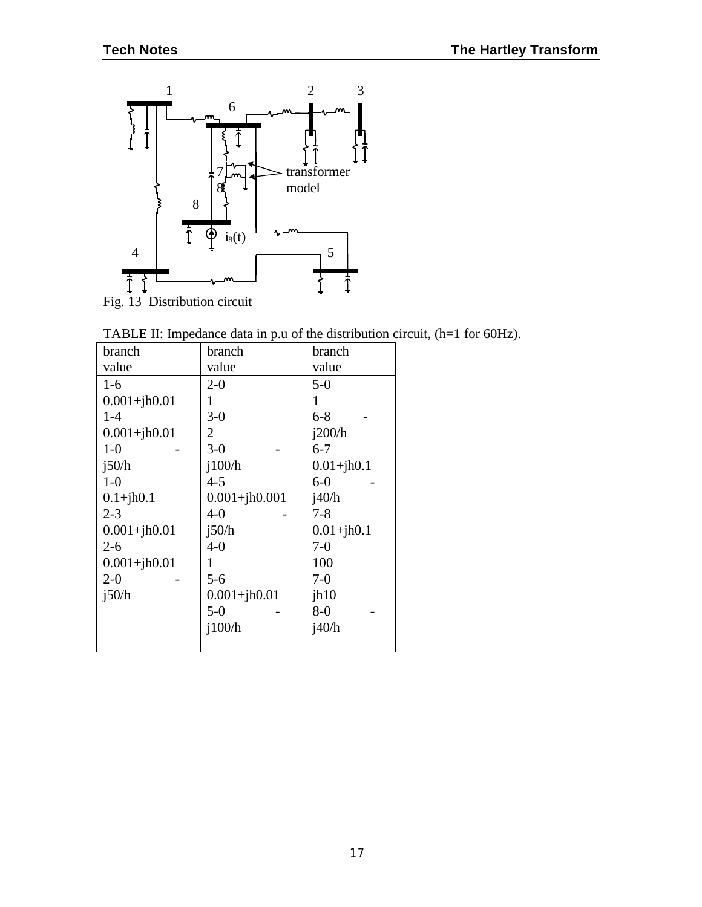

TABLE II: Impedance data in p.u of the distribution circuit, (h=1 for 60Hz).

| branch           | branch            | branch         |
|------------------|-------------------|----------------|
| value            | value             | value          |
| $1-6$            | $2 - 0$           | $5-0$          |
| $0.001 + jh0.01$ | 1                 | 1              |
| $1 - 4$          | $3-0$             | $6 - 8$        |
| $0.001 + jh0.01$ | 2                 | i200/h         |
| $1-0$            | $3-0$             | $6 - 7$        |
| i50/h            | i100/h            | $0.01 + jh0.1$ |
| $1-0$            | $4 - 5$           | $6-0$          |
| $0.1 + jh0.1$    | $0.001 + jh0.001$ | i40/h          |
| $2 - 3$          | $4 - 0$           | $7 - 8$        |
| $0.001 + jh0.01$ | i50/h             | $0.01 + jh0.1$ |
| $2 - 6$          | $4 - 0$           | $7-0$          |
| $0.001 + jh0.01$ | 1                 | 100            |
| $2 - 0$          | $5-6$             | $7-0$          |
| i50/h            | $0.001 + jh0.01$  | jh10           |
|                  | $5-0$             | $8-0$          |
|                  | i100/h            | i40/h          |
|                  |                   |                |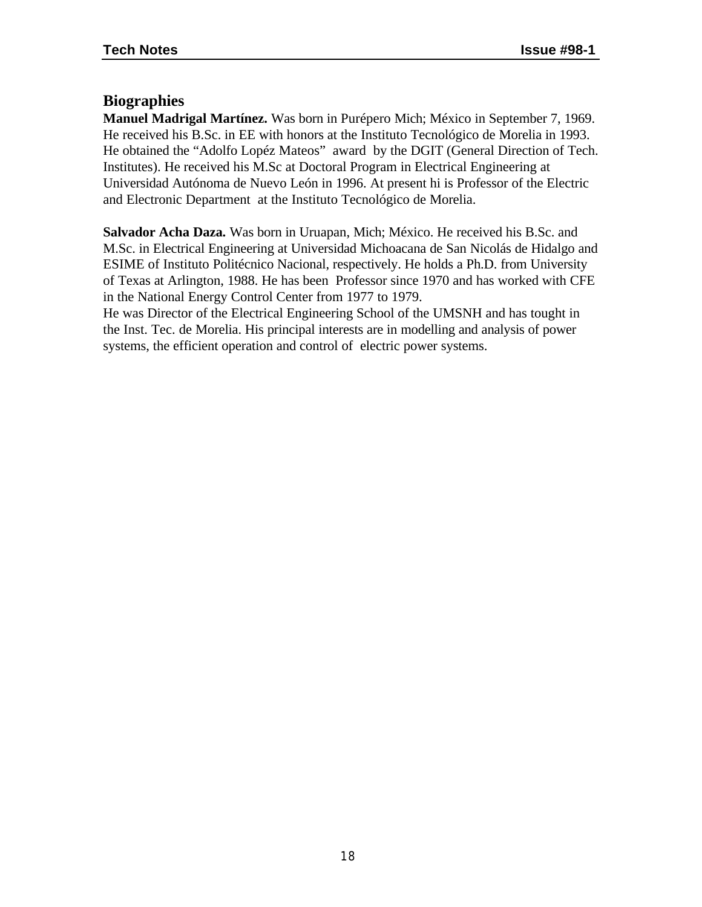#### **Biographies**

**Manuel Madrigal Martínez.** Was born in Purépero Mich; México in September 7, 1969. He received his B.Sc. in EE with honors at the Instituto Tecnológico de Morelia in 1993. He obtained the "Adolfo Lopéz Mateos" award by the DGIT (General Direction of Tech. Institutes). He received his M.Sc at Doctoral Program in Electrical Engineering at Universidad Autónoma de Nuevo León in 1996. At present hi is Professor of the Electric and Electronic Department at the Instituto Tecnológico de Morelia.

**Salvador Acha Daza.** Was born in Uruapan, Mich; México. He received his B.Sc. and M.Sc. in Electrical Engineering at Universidad Michoacana de San Nicolás de Hidalgo and ESIME of Instituto Politécnico Nacional, respectively. He holds a Ph.D. from University of Texas at Arlington, 1988. He has been Professor since 1970 and has worked with CFE in the National Energy Control Center from 1977 to 1979.

He was Director of the Electrical Engineering School of the UMSNH and has tought in the Inst. Tec. de Morelia. His principal interests are in modelling and analysis of power systems, the efficient operation and control of electric power systems.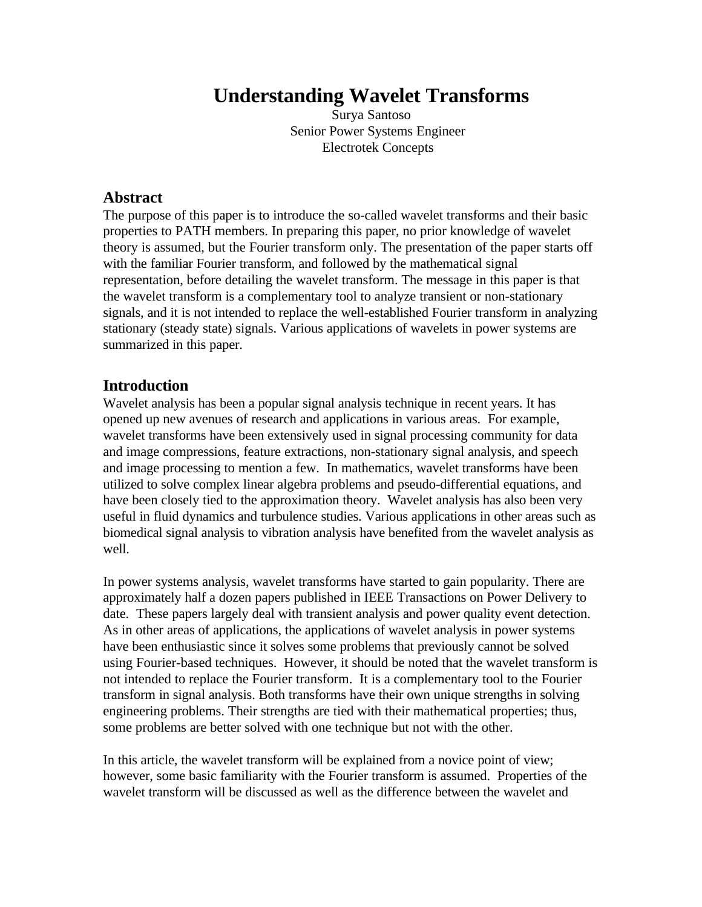## **Understanding Wavelet Transforms**

Surya Santoso Senior Power Systems Engineer Electrotek Concepts

#### **Abstract**

The purpose of this paper is to introduce the so-called wavelet transforms and their basic properties to PATH members. In preparing this paper, no prior knowledge of wavelet theory is assumed, but the Fourier transform only. The presentation of the paper starts off with the familiar Fourier transform, and followed by the mathematical signal representation, before detailing the wavelet transform. The message in this paper is that the wavelet transform is a complementary tool to analyze transient or non-stationary signals, and it is not intended to replace the well-established Fourier transform in analyzing stationary (steady state) signals. Various applications of wavelets in power systems are summarized in this paper.

#### **Introduction**

Wavelet analysis has been a popular signal analysis technique in recent years. It has opened up new avenues of research and applications in various areas. For example, wavelet transforms have been extensively used in signal processing community for data and image compressions, feature extractions, non-stationary signal analysis, and speech and image processing to mention a few. In mathematics, wavelet transforms have been utilized to solve complex linear algebra problems and pseudo-differential equations, and have been closely tied to the approximation theory. Wavelet analysis has also been very useful in fluid dynamics and turbulence studies. Various applications in other areas such as biomedical signal analysis to vibration analysis have benefited from the wavelet analysis as well.

In power systems analysis, wavelet transforms have started to gain popularity. There are approximately half a dozen papers published in IEEE Transactions on Power Delivery to date. These papers largely deal with transient analysis and power quality event detection. As in other areas of applications, the applications of wavelet analysis in power systems have been enthusiastic since it solves some problems that previously cannot be solved using Fourier-based techniques. However, it should be noted that the wavelet transform is not intended to replace the Fourier transform. It is a complementary tool to the Fourier transform in signal analysis. Both transforms have their own unique strengths in solving engineering problems. Their strengths are tied with their mathematical properties; thus, some problems are better solved with one technique but not with the other.

In this article, the wavelet transform will be explained from a novice point of view; however, some basic familiarity with the Fourier transform is assumed. Properties of the wavelet transform will be discussed as well as the difference between the wavelet and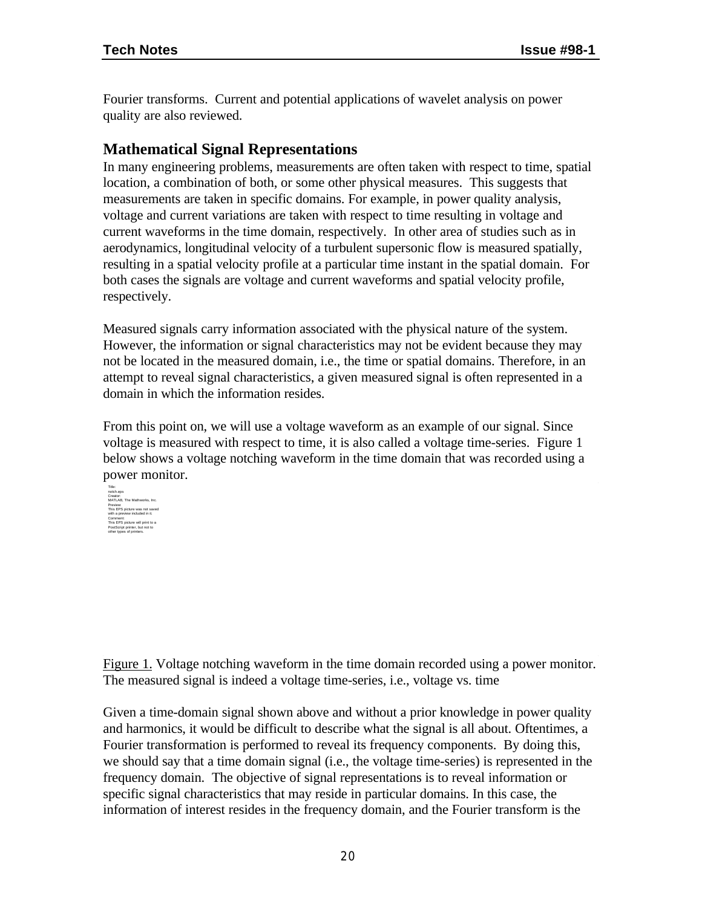Fourier transforms. Current and potential applications of wavelet analysis on power quality are also reviewed.

## **Mathematical Signal Representations**

In many engineering problems, measurements are often taken with respect to time, spatial location, a combination of both, or some other physical measures. This suggests that measurements are taken in specific domains. For example, in power quality analysis, voltage and current variations are taken with respect to time resulting in voltage and current waveforms in the time domain, respectively. In other area of studies such as in aerodynamics, longitudinal velocity of a turbulent supersonic flow is measured spatially, resulting in a spatial velocity profile at a particular time instant in the spatial domain. For both cases the signals are voltage and current waveforms and spatial velocity profile, respectively.

Measured signals carry information associated with the physical nature of the system. However, the information or signal characteristics may not be evident because they may not be located in the measured domain, i.e., the time or spatial domains. Therefore, in an attempt to reveal signal characteristics, a given measured signal is often represented in a domain in which the information resides.

From this point on, we will use a voltage waveform as an example of our signal. Since voltage is measured with respect to time, it is also called a voltage time-series. Figure 1 below shows a voltage notching waveform in the time domain that was recorded using a power monitor.



Figure 1. Voltage notching waveform in the time domain recorded using a power monitor. The measured signal is indeed a voltage time-series, i.e., voltage vs. time

Given a time-domain signal shown above and without a prior knowledge in power quality and harmonics, it would be difficult to describe what the signal is all about. Oftentimes, a Fourier transformation is performed to reveal its frequency components. By doing this, we should say that a time domain signal (i.e., the voltage time-series) is represented in the frequency domain. The objective of signal representations is to reveal information or specific signal characteristics that may reside in particular domains. In this case, the information of interest resides in the frequency domain, and the Fourier transform is the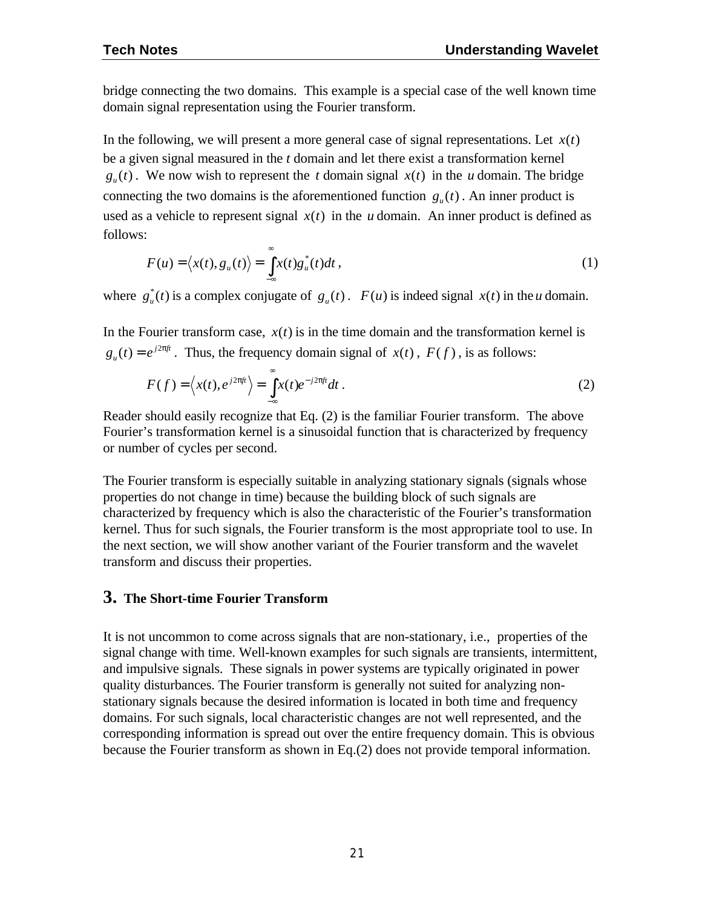bridge connecting the two domains. This example is a special case of the well known time domain signal representation using the Fourier transform.

In the following, we will present a more general case of signal representations. Let  $x(t)$ be a given signal measured in the *t* domain and let there exist a transformation kernel  $g_u(t)$ . We now wish to represent the *t* domain signal  $x(t)$  in the *u* domain. The bridge connecting the two domains is the aforementioned function  $g_u(t)$ . An inner product is used as a vehicle to represent signal  $x(t)$  in the *u* domain. An inner product is defined as follows:

$$
F(u) = \langle x(t), g_u(t) \rangle = \int_{-\infty}^{\infty} x(t) g_u^*(t) dt,
$$
\n(1)

where  $g_u^*(t)$  is a complex conjugate of  $g_u(t)$ .  $F(u)$  is indeed signal  $x(t)$  in the *u* domain.

In the Fourier transform case,  $x(t)$  is in the time domain and the transformation kernel is *j ft*  $g_u(t) = e^{j2p\theta}$ . Thus, the frequency domain signal of *x*(*t*), *F*(*f*), is as follows:

$$
F(f) = \left\langle x(t), e^{j2p\theta} \right\rangle = \int_{-\infty}^{\infty} x(t)e^{-j2p\theta} dt.
$$
 (2)

Reader should easily recognize that Eq. (2) is the familiar Fourier transform. The above Fourier's transformation kernel is a sinusoidal function that is characterized by frequency or number of cycles per second.

The Fourier transform is especially suitable in analyzing stationary signals (signals whose properties do not change in time) because the building block of such signals are characterized by frequency which is also the characteristic of the Fourier's transformation kernel. Thus for such signals, the Fourier transform is the most appropriate tool to use. In the next section, we will show another variant of the Fourier transform and the wavelet transform and discuss their properties.

#### **3. The Short-time Fourier Transform**

It is not uncommon to come across signals that are non-stationary, i.e., properties of the signal change with time. Well-known examples for such signals are transients, intermittent, and impulsive signals. These signals in power systems are typically originated in power quality disturbances. The Fourier transform is generally not suited for analyzing nonstationary signals because the desired information is located in both time and frequency domains. For such signals, local characteristic changes are not well represented, and the corresponding information is spread out over the entire frequency domain. This is obvious because the Fourier transform as shown in Eq.(2) does not provide temporal information.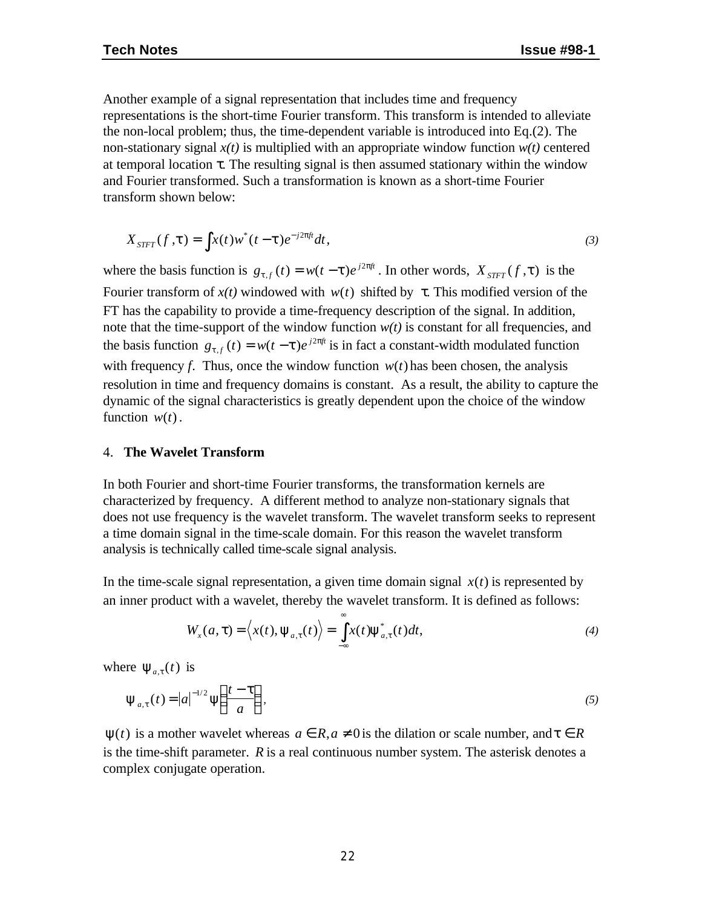Another example of a signal representation that includes time and frequency representations is the short-time Fourier transform. This transform is intended to alleviate the non-local problem; thus, the time-dependent variable is introduced into Eq.(2). The non-stationary signal  $x(t)$  is multiplied with an appropriate window function  $w(t)$  centered at temporal location  $\tau$ . The resulting signal is then assumed stationary within the window and Fourier transformed. Such a transformation is known as a short-time Fourier transform shown below:

$$
X_{STFT}(f, t) = \int x(t)w^*(t-t)e^{-j2pft}dt,
$$
\n(3)

where the basis function is  $g_{t,f}(t) = w(t - t)e^{j2pft}$  $f(r) = w(t - t)e^{j2p\theta}$ . In other words,  $X_{STFT}(f, t)$  is the Fourier transform of  $x(t)$  windowed with  $w(t)$  shifted by τ. This modified version of the FT has the capability to provide a time-frequency description of the signal. In addition, note that the time-support of the window function  $w(t)$  is constant for all frequencies, and the basis function  $g_{t,f}(t) = w(t-t)e^{j2pt}$  $p_{f}(t) = w(t - t)e^{j2pft}$  is in fact a constant-width modulated function with frequency *f*. Thus, once the window function  $w(t)$  has been chosen, the analysis resolution in time and frequency domains is constant. As a result, the ability to capture the dynamic of the signal characteristics is greatly dependent upon the choice of the window function  $w(t)$ .

#### 4. **The Wavelet Transform**

In both Fourier and short-time Fourier transforms, the transformation kernels are characterized by frequency. A different method to analyze non-stationary signals that does not use frequency is the wavelet transform. The wavelet transform seeks to represent a time domain signal in the time-scale domain. For this reason the wavelet transform analysis is technically called time-scale signal analysis.

In the time-scale signal representation, a given time domain signal  $x(t)$  is represented by an inner product with a wavelet, thereby the wavelet transform. It is defined as follows:

$$
W_x(a,\tau) = \langle x(t), \psi_{a,\tau}(t) \rangle = \int_{-\infty}^{\infty} x(t) \psi_{a,\tau}^*(t) dt,
$$
\n(4)

where  $\Psi_{a,\tau}(t)$  is

$$
\Psi_{a,\tau}(t) = |a|^{-1/2} \Psi\left(\frac{t-\tau}{a}\right),\tag{5}
$$

 $\Psi(t)$  is a mother wavelet whereas  $a \in R$ ,  $a \neq 0$  is the dilation or scale number, and  $t \in R$ is the time-shift parameter. *R* is a real continuous number system. The asterisk denotes a complex conjugate operation.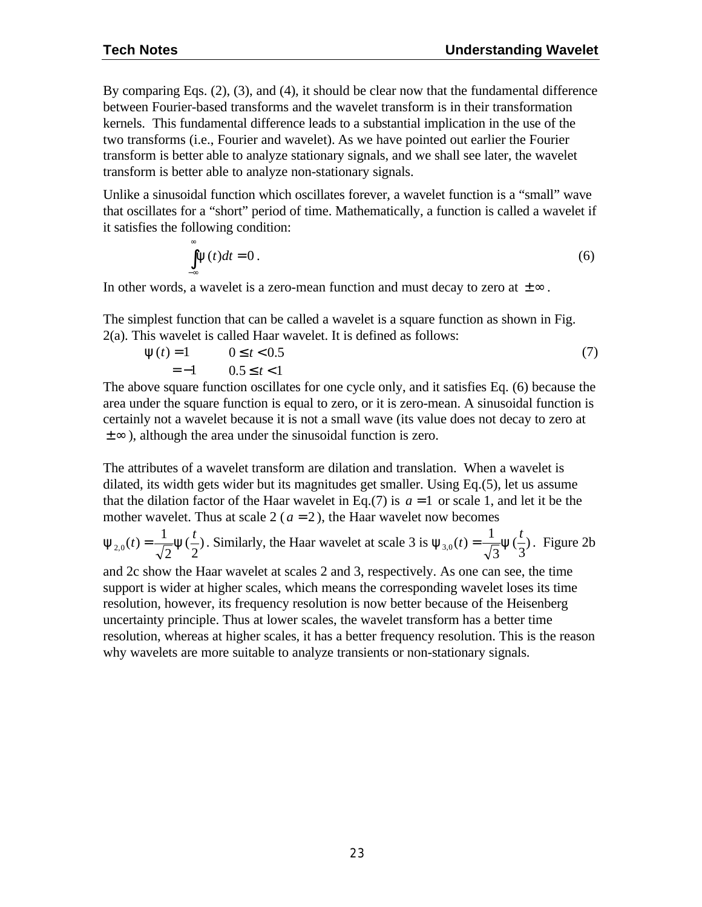By comparing Eqs. (2), (3), and (4), it should be clear now that the fundamental difference between Fourier-based transforms and the wavelet transform is in their transformation kernels. This fundamental difference leads to a substantial implication in the use of the two transforms (i.e., Fourier and wavelet). As we have pointed out earlier the Fourier transform is better able to analyze stationary signals, and we shall see later, the wavelet transform is better able to analyze non-stationary signals.

Unlike a sinusoidal function which oscillates forever, a wavelet function is a "small" wave that oscillates for a "short" period of time. Mathematically, a function is called a wavelet if it satisfies the following condition:

$$
\int_{-\infty}^{\infty} \mathbf{y}(t)dt = 0.
$$
 (6)

In other words, a wavelet is a zero-mean function and must decay to zero at  $\pm \infty$ .

The simplest function that can be called a wavelet is a square function as shown in Fig. 2(a). This wavelet is called Haar wavelet. It is defined as follows:

$$
y(t) = 1 \t 0 \le t < 0.5= -1 \t 0.5 \le t < 1
$$
\t(7)

The above square function oscillates for one cycle only, and it satisfies Eq. (6) because the area under the square function is equal to zero, or it is zero-mean. A sinusoidal function is certainly not a wavelet because it is not a small wave (its value does not decay to zero at  $\pm \infty$ ), although the area under the sinusoidal function is zero.

The attributes of a wavelet transform are dilation and translation. When a wavelet is dilated, its width gets wider but its magnitudes get smaller. Using Eq.(5), let us assume that the dilation factor of the Haar wavelet in Eq.(7) is  $a = 1$  or scale 1, and let it be the mother wavelet. Thus at scale  $2(a=2)$ , the Haar wavelet now becomes

$$
\mathbf{y}_{2,0}(t) = \frac{1}{\sqrt{2}} \mathbf{y}(\frac{t}{2}).
$$
 Similarly, the Haar wavelet at scale 3 is  $\mathbf{y}_{3,0}(t) = \frac{1}{\sqrt{3}} \mathbf{y}(\frac{t}{3}).$  Figure 2b

and 2c show the Haar wavelet at scales 2 and 3, respectively. As one can see, the time support is wider at higher scales, which means the corresponding wavelet loses its time resolution, however, its frequency resolution is now better because of the Heisenberg uncertainty principle. Thus at lower scales, the wavelet transform has a better time resolution, whereas at higher scales, it has a better frequency resolution. This is the reason why wavelets are more suitable to analyze transients or non-stationary signals.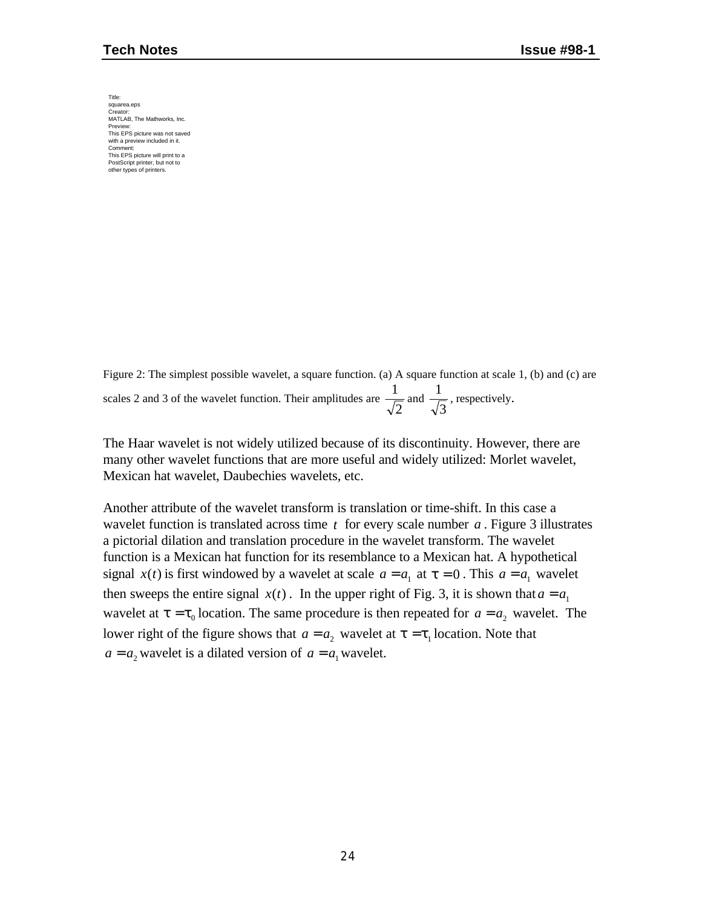Title: squarea.eps Creator: MATLAB, The Mathworks, Inc. Preview: This EPS picture was not saved with a preview included in it. Comment: This EPS picture will print to a PostScript printer, but not to other types of printers.

Figure 2: The simplest possible wavelet, a square function. (a) A square function at scale 1, (b) and (c) are scales 2 and 3 of the wavelet function. Their amplitudes are 2  $\frac{1}{\sqrt{2}}$  and 3  $\frac{1}{\sqrt{2}}$ , respectively.

The Haar wavelet is not widely utilized because of its discontinuity. However, there are many other wavelet functions that are more useful and widely utilized: Morlet wavelet, Mexican hat wavelet, Daubechies wavelets, etc.

Another attribute of the wavelet transform is translation or time-shift. In this case a wavelet function is translated across time *t* for every scale number *a* . Figure 3 illustrates a pictorial dilation and translation procedure in the wavelet transform. The wavelet function is a Mexican hat function for its resemblance to a Mexican hat. A hypothetical signal  $x(t)$  is first windowed by a wavelet at scale  $a = a_1$  at  $t = 0$ . This  $a = a_1$  wavelet then sweeps the entire signal  $x(t)$ . In the upper right of Fig. 3, it is shown that  $a = a_1$ wavelet at  $t = t_0$  location. The same procedure is then repeated for  $a = a_2$  wavelet. The lower right of the figure shows that  $a = a_2$  wavelet at  $t = t_1$  location. Note that  $a = a_2$  wavelet is a dilated version of  $a = a_1$  wavelet.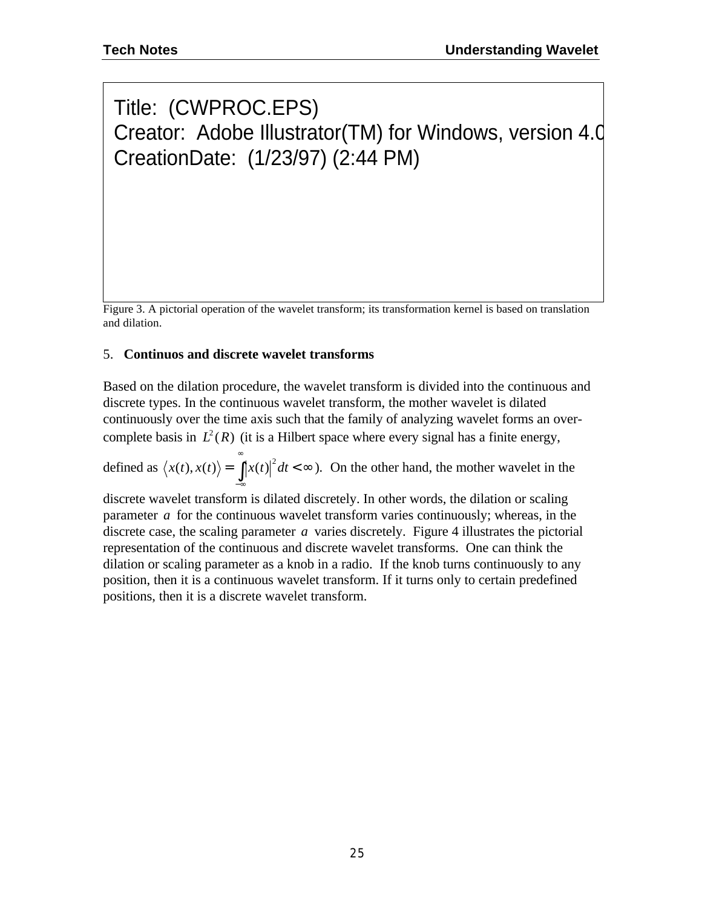# Title: (CWPROC.EPS) Creator: Adobe Illustrator(TM) for Windows, version 4.0 CreationDate: (1/23/97) (2:44 PM)

Figure 3. A pictorial operation of the wavelet transform; its transformation kernel is based on translation and dilation.

#### 5. **Continuos and discrete wavelet transforms**

Based on the dilation procedure, the wavelet transform is divided into the continuous and discrete types. In the continuous wavelet transform, the mother wavelet is dilated continuously over the time axis such that the family of analyzing wavelet forms an overcomplete basis in  $L^2(R)$  (it is a Hilbert space where every signal has a finite energy,

defined as  $\langle x(t), x(t) \rangle = \int |x(t)|^2 dt < \infty$  $\langle x(t), x(t) \rangle = \int_0^{\infty} |x(t)|^2 dt < \infty$ ). On the other hand, the mother wavelet in the −∞

discrete wavelet transform is dilated discretely. In other words, the dilation or scaling parameter *a* for the continuous wavelet transform varies continuously; whereas, in the discrete case, the scaling parameter *a* varies discretely. Figure 4 illustrates the pictorial representation of the continuous and discrete wavelet transforms. One can think the dilation or scaling parameter as a knob in a radio. If the knob turns continuously to any position, then it is a continuous wavelet transform. If it turns only to certain predefined positions, then it is a discrete wavelet transform.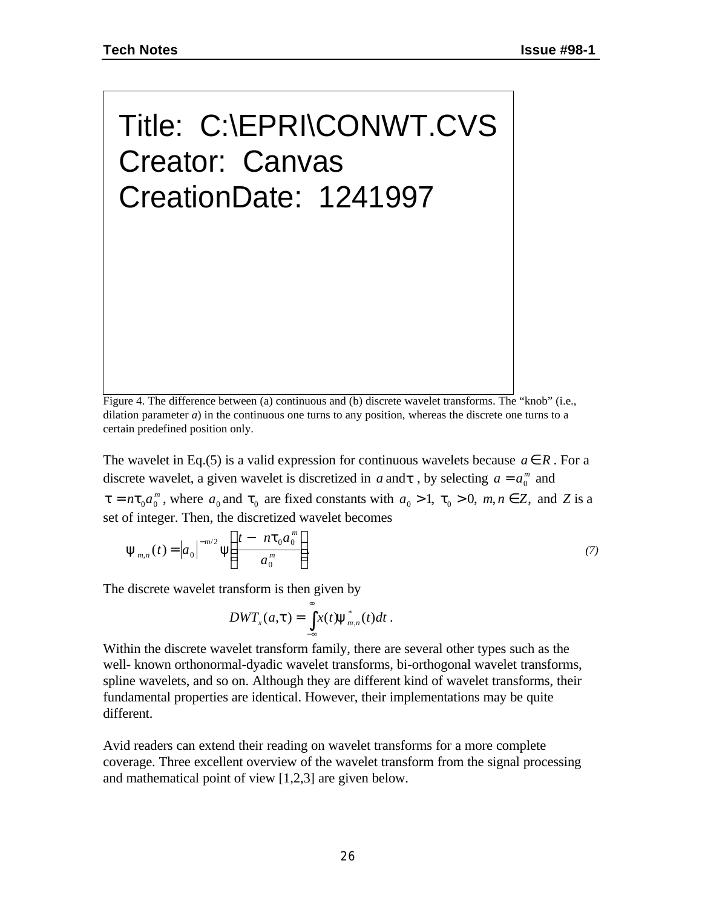Title: C:\EPRI\CONWT.CVS Creator: Canvas CreationDate: 1241997

Figure 4. The difference between (a) continuous and (b) discrete wavelet transforms. The "knob" (i.e., dilation parameter  $a$ ) in the continuous one turns to any position, whereas the discrete one turns to a certain predefined position only.

The wavelet in Eq.(5) is a valid expression for continuous wavelets because  $a \in R$ . For a discrete wavelet, a given wavelet is discretized in *a* and *t*, by selecting  $a = a_0^m$  and  $t = n t_0 a_0^m$  $_{0}a_{0}^{m}$ , where  $a_{0}$  and  $t_{0}$  are fixed constants with  $a_{0} > 1$ ,  $\tau_{0} > 0$ ,  $m, n \in \mathbb{Z}$ , and  $Z$  is a set of integer. Then, the discretized wavelet becomes

$$
\Psi_{m,n}(t) = |a_0|^{-m/2} \Psi\left(\frac{t - n\tau_0 a_0^m}{a_0^m}\right).
$$
\n(7)

The discrete wavelet transform is then given by

$$
DWT_{x}(a,t)=\int_{-\infty}^{\infty}x(t)\mathbf{y}_{m,n}^{*}(t)dt.
$$

Within the discrete wavelet transform family, there are several other types such as the well- known orthonormal-dyadic wavelet transforms, bi-orthogonal wavelet transforms, spline wavelets, and so on. Although they are different kind of wavelet transforms, their fundamental properties are identical. However, their implementations may be quite different.

Avid readers can extend their reading on wavelet transforms for a more complete coverage. Three excellent overview of the wavelet transform from the signal processing and mathematical point of view [1,2,3] are given below.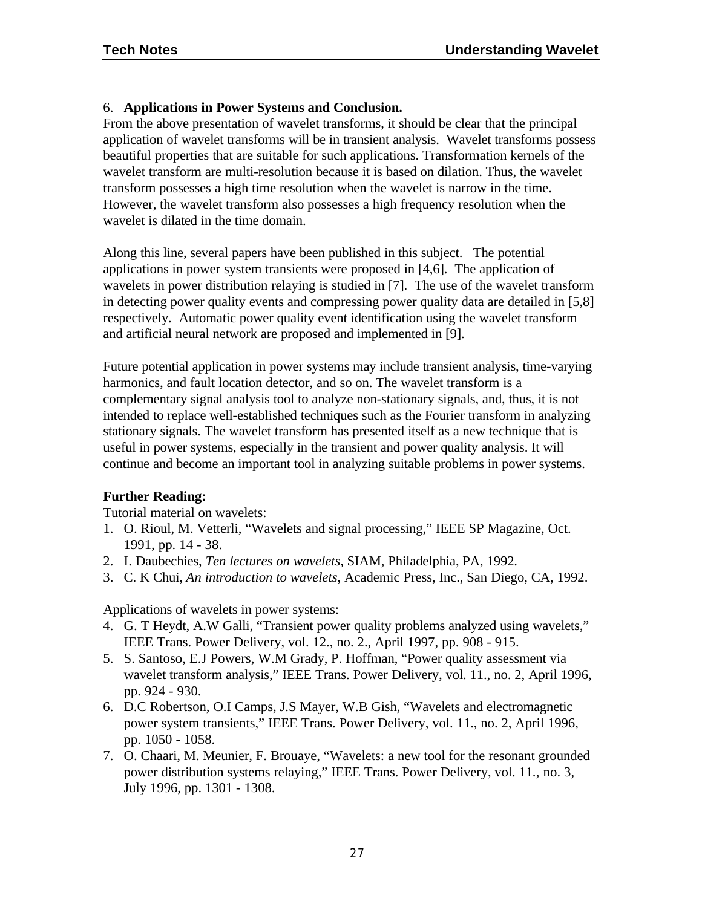#### 6. **Applications in Power Systems and Conclusion.**

From the above presentation of wavelet transforms, it should be clear that the principal application of wavelet transforms will be in transient analysis. Wavelet transforms possess beautiful properties that are suitable for such applications. Transformation kernels of the wavelet transform are multi-resolution because it is based on dilation. Thus, the wavelet transform possesses a high time resolution when the wavelet is narrow in the time. However, the wavelet transform also possesses a high frequency resolution when the wavelet is dilated in the time domain.

Along this line, several papers have been published in this subject. The potential applications in power system transients were proposed in [4,6]. The application of wavelets in power distribution relaying is studied in [7]. The use of the wavelet transform in detecting power quality events and compressing power quality data are detailed in [5,8] respectively. Automatic power quality event identification using the wavelet transform and artificial neural network are proposed and implemented in [9].

Future potential application in power systems may include transient analysis, time-varying harmonics, and fault location detector, and so on. The wavelet transform is a complementary signal analysis tool to analyze non-stationary signals, and, thus, it is not intended to replace well-established techniques such as the Fourier transform in analyzing stationary signals. The wavelet transform has presented itself as a new technique that is useful in power systems, especially in the transient and power quality analysis. It will continue and become an important tool in analyzing suitable problems in power systems.

#### **Further Reading:**

Tutorial material on wavelets:

- 1. O. Rioul, M. Vetterli, "Wavelets and signal processing," IEEE SP Magazine, Oct. 1991, pp. 14 - 38.
- 2. I. Daubechies, *Ten lectures on wavelets*, SIAM, Philadelphia, PA, 1992.
- 3. C. K Chui, *An introduction to wavelets*, Academic Press, Inc., San Diego, CA, 1992.

Applications of wavelets in power systems:

- 4. G. T Heydt, A.W Galli, "Transient power quality problems analyzed using wavelets," IEEE Trans. Power Delivery, vol. 12., no. 2., April 1997, pp. 908 - 915.
- 5. S. Santoso, E.J Powers, W.M Grady, P. Hoffman, "Power quality assessment via wavelet transform analysis," IEEE Trans. Power Delivery, vol. 11., no. 2, April 1996, pp. 924 - 930.
- 6. D.C Robertson, O.I Camps, J.S Mayer, W.B Gish, "Wavelets and electromagnetic power system transients," IEEE Trans. Power Delivery, vol. 11., no. 2, April 1996, pp. 1050 - 1058.
- 7. O. Chaari, M. Meunier, F. Brouaye, "Wavelets: a new tool for the resonant grounded power distribution systems relaying," IEEE Trans. Power Delivery, vol. 11., no. 3, July 1996, pp. 1301 - 1308.